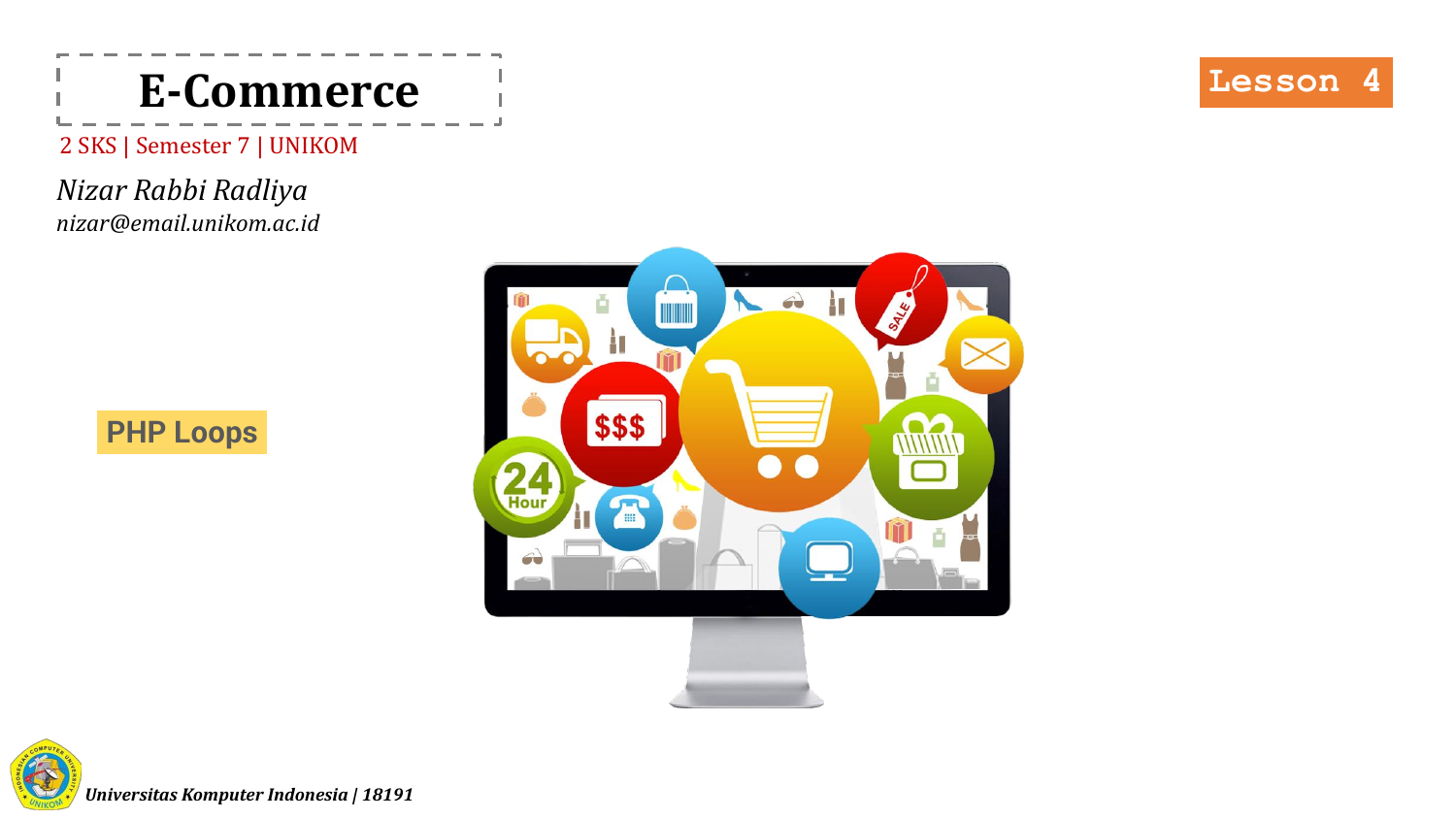

2 SKS | Semester 7 | UNIKOM

*Nizar Rabbi Radliya nizar@email.unikom.ac.id*







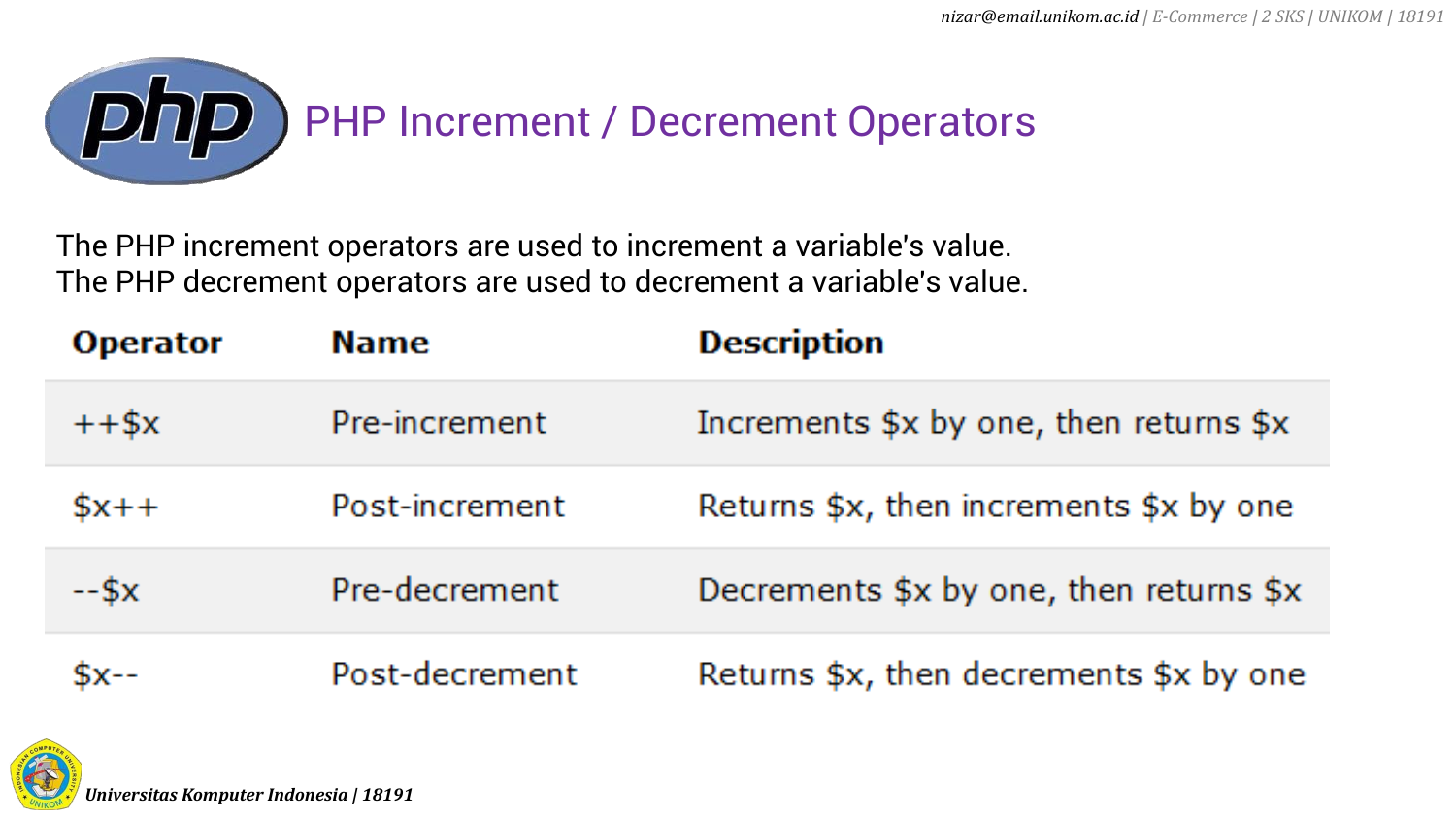

The PHP increment operators are used to increment a variable's value. The PHP decrement operators are used to decrement a variable's value.

| <b>Operator</b> | <b>Name</b>    | <b>Description</b>                                               |
|-----------------|----------------|------------------------------------------------------------------|
| $++$ \$x        | Pre-increment  | Increments $x \rightarrow y$ one, then returns $x \rightarrow y$ |
| $$x++$          | Post-increment | Returns \$x, then increments \$x by one                          |
| $-5x$           | Pre-decrement  | Decrements \$x by one, then returns \$x                          |
| <u> Sх--</u>    | Post-decrement | Returns \$x, then decrements \$x by one                          |

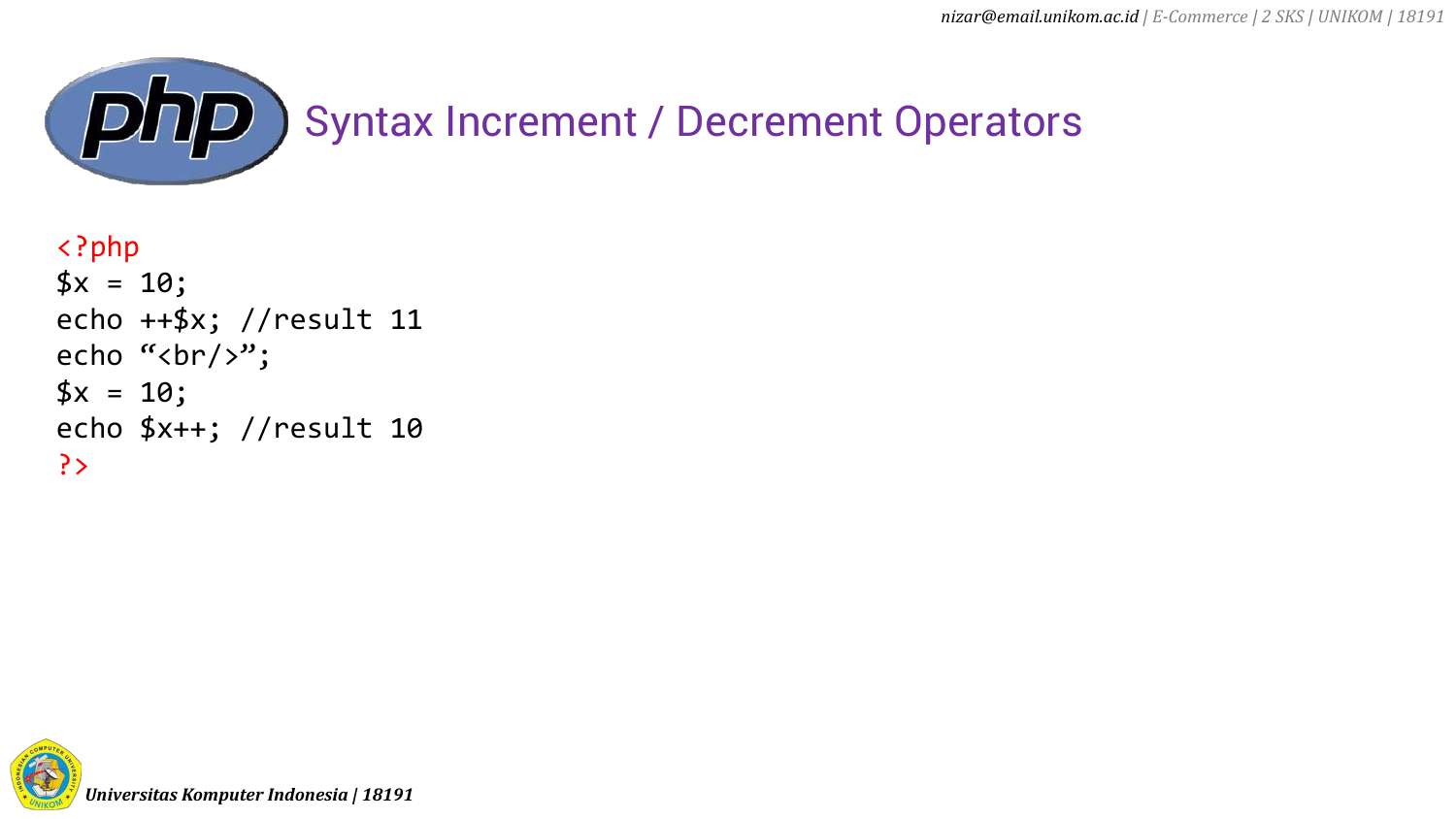

```
<?php
$x = 10;echo ++$x; //result 11
echo "<br/>>";
$x = 10;echo $x++; //result 10
?>
```
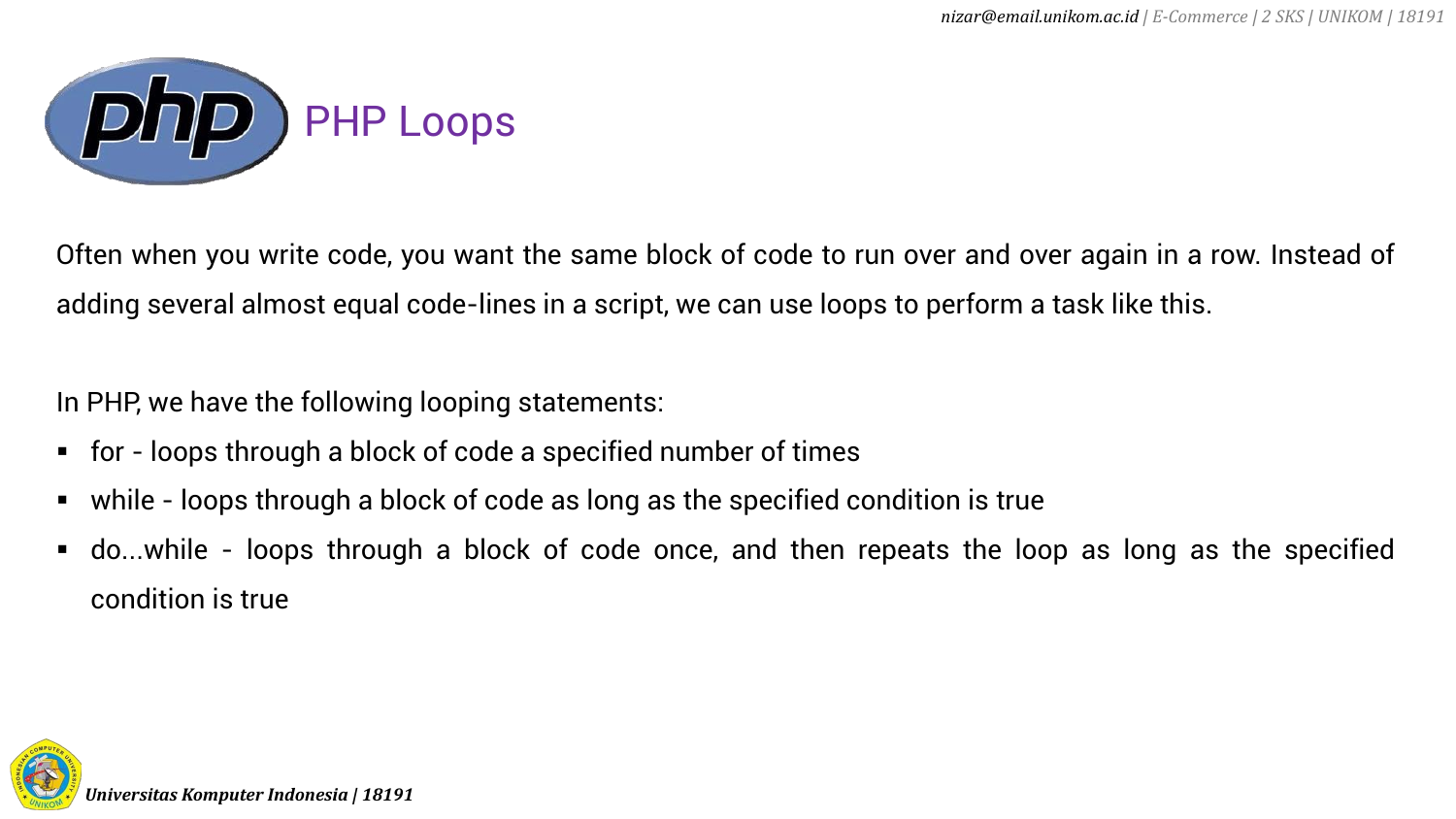

Often when you write code, you want the same block of code to run over and over again in a row. Instead of adding several almost equal code-lines in a script, we can use loops to perform a task like this.

In PHP, we have the following looping statements:

- for loops through a block of code a specified number of times
- while loops through a block of code as long as the specified condition is true
- do...while loops through a block of code once, and then repeats the loop as long as the specified condition is true

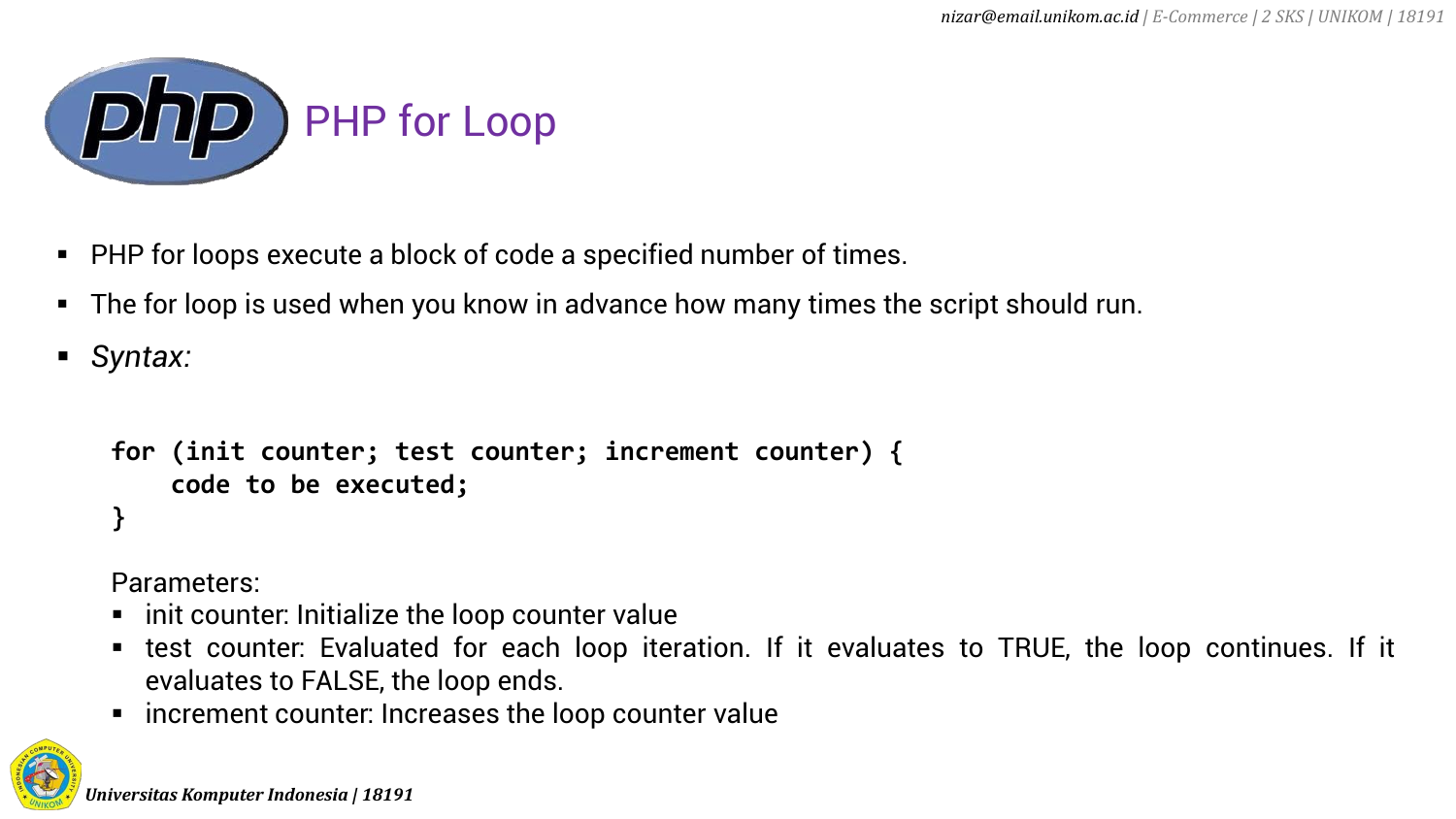

- PHP for loops execute a block of code a specified number of times.
- The for loop is used when you know in advance how many times the script should run.
- *Syntax:*

```
for (init counter; test counter; increment counter) {
    code to be executed;
}
```
Parameters:

- $\blacksquare$  init counter: Initialize the loop counter value
- test counter: Evaluated for each loop iteration. If it evaluates to TRUE, the loop continues. If it evaluates to FALSE, the loop ends.
- increment counter: Increases the loop counter value

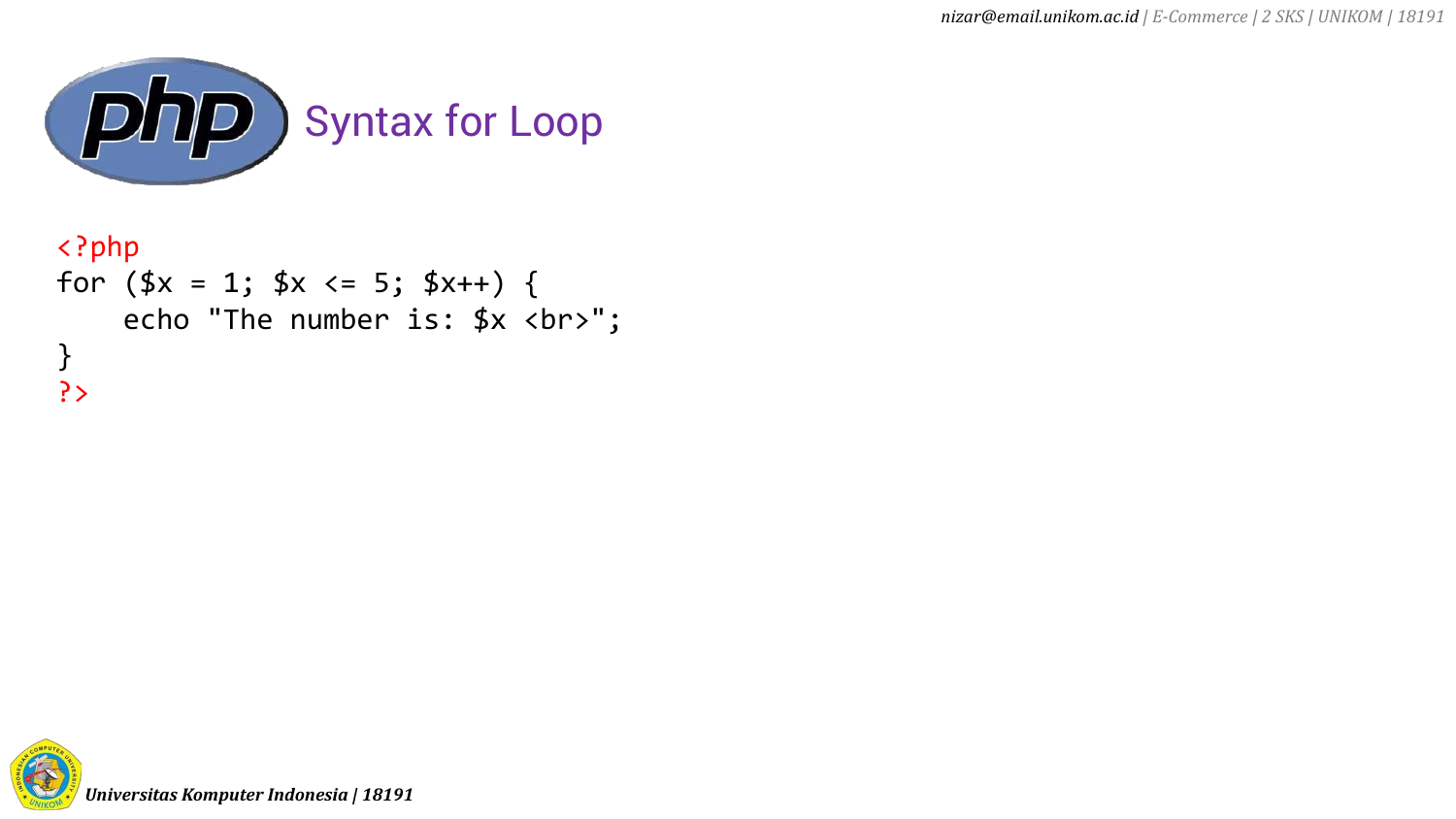

```
<?php
for (\frac{4}{x} = 1; \frac{4}{x} < 5; \frac{4}{x} + \frac{1}{x}) {
      echo "The number is: *x <br>";
}
?>
```
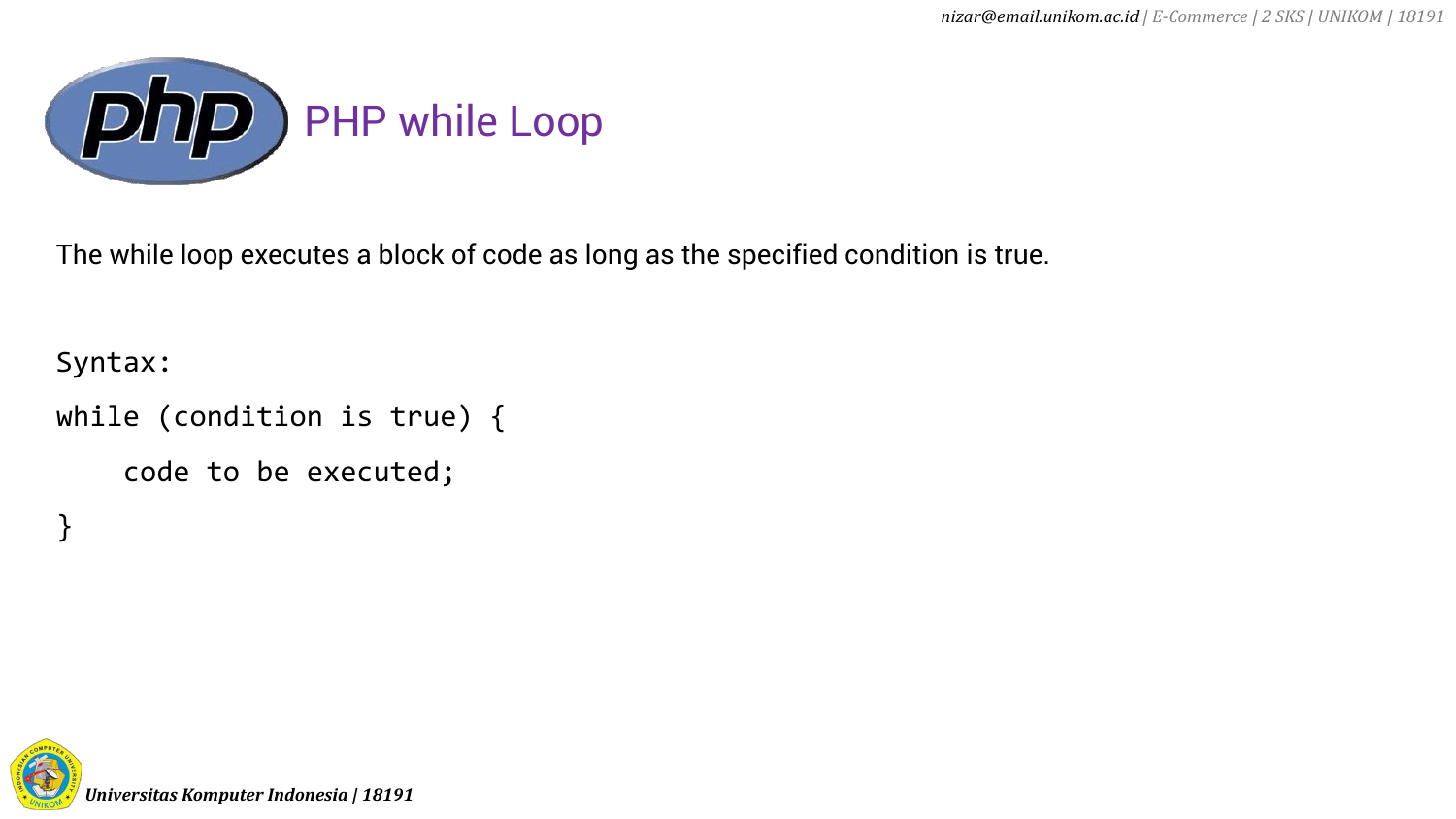

The while loop executes a block of code as long as the specified condition is true.

Syntax:

}

```
while (condition is true) {
```

```
code to be executed;
```
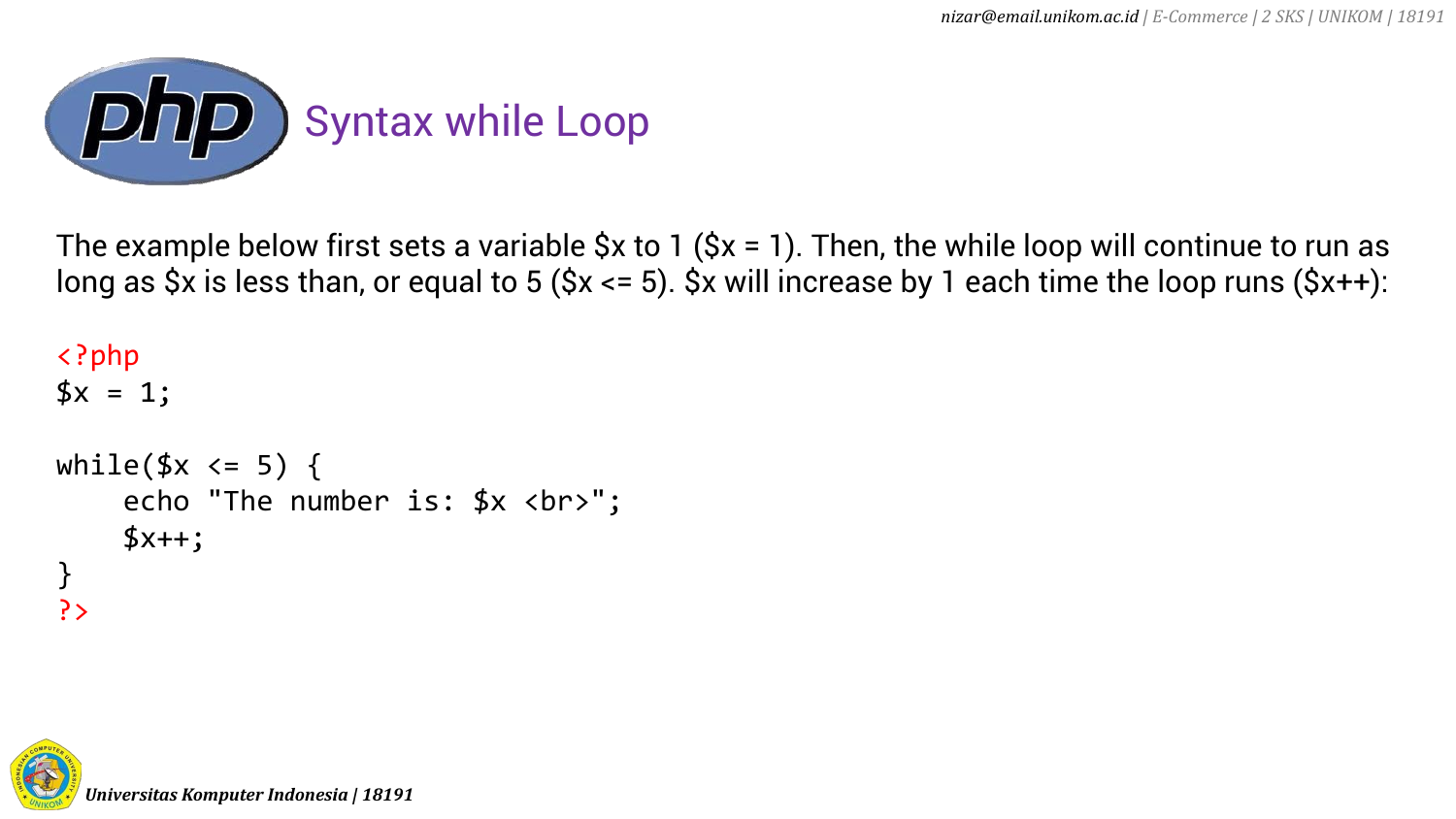

The example below first sets a variable  $\Diamond x$  to 1 ( $\Diamond x = 1$ ). Then, the while loop will continue to run as long as  $\forall x$  is less than, or equal to 5 ( $\forall x \leq 5$ ).  $\forall x$  will increase by 1 each time the loop runs ( $\forall x$ ++):

```
<?php
3x = 1;
while($x \leq 5) {
    echo "The number is: *x <br>";
    $x++;}
?>
```
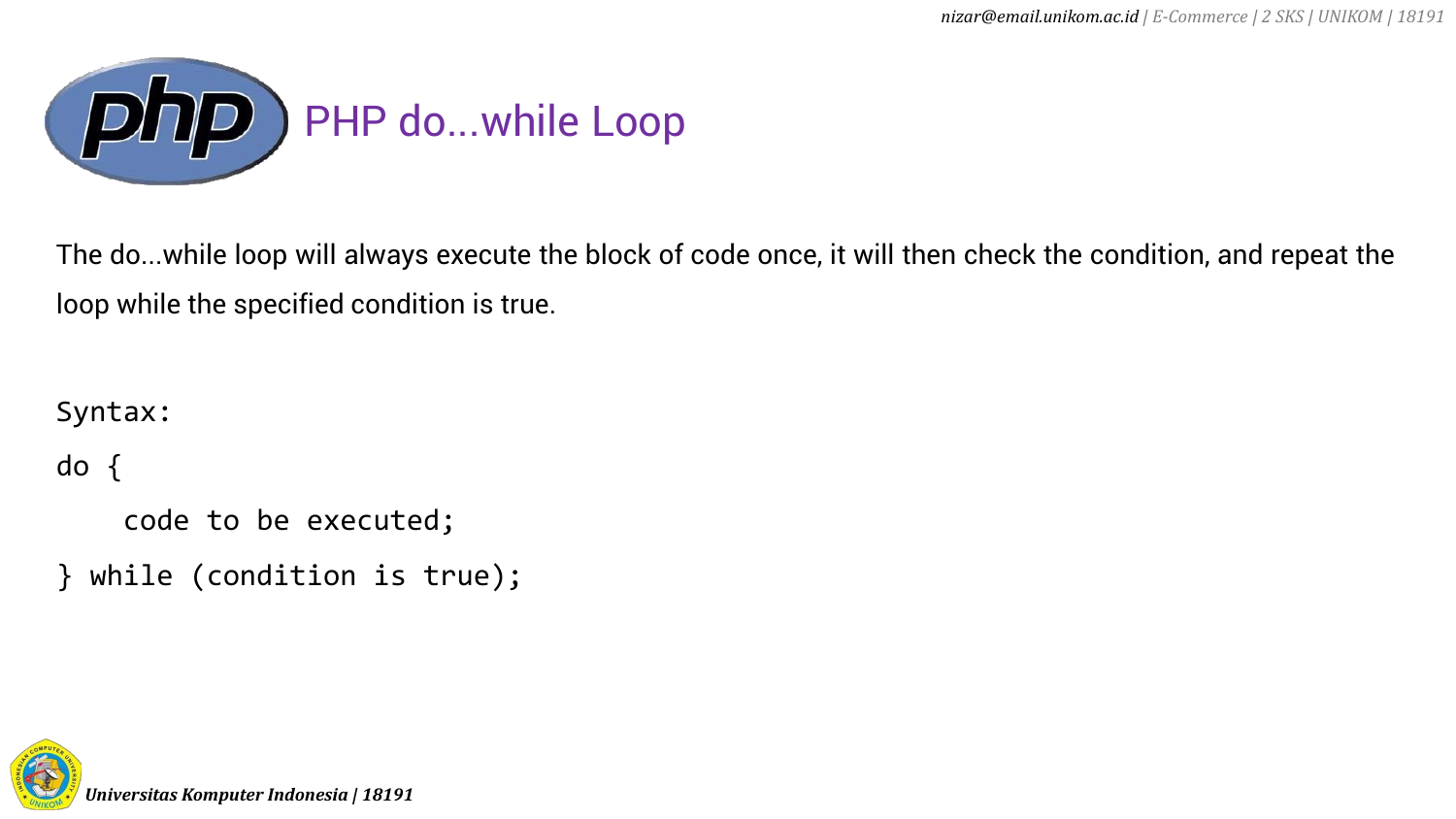

The do...while loop will always execute the block of code once, it will then check the condition, and repeat the loop while the specified condition is true.

Syntax:

do {

```
code to be executed;
```
} while (condition is true);

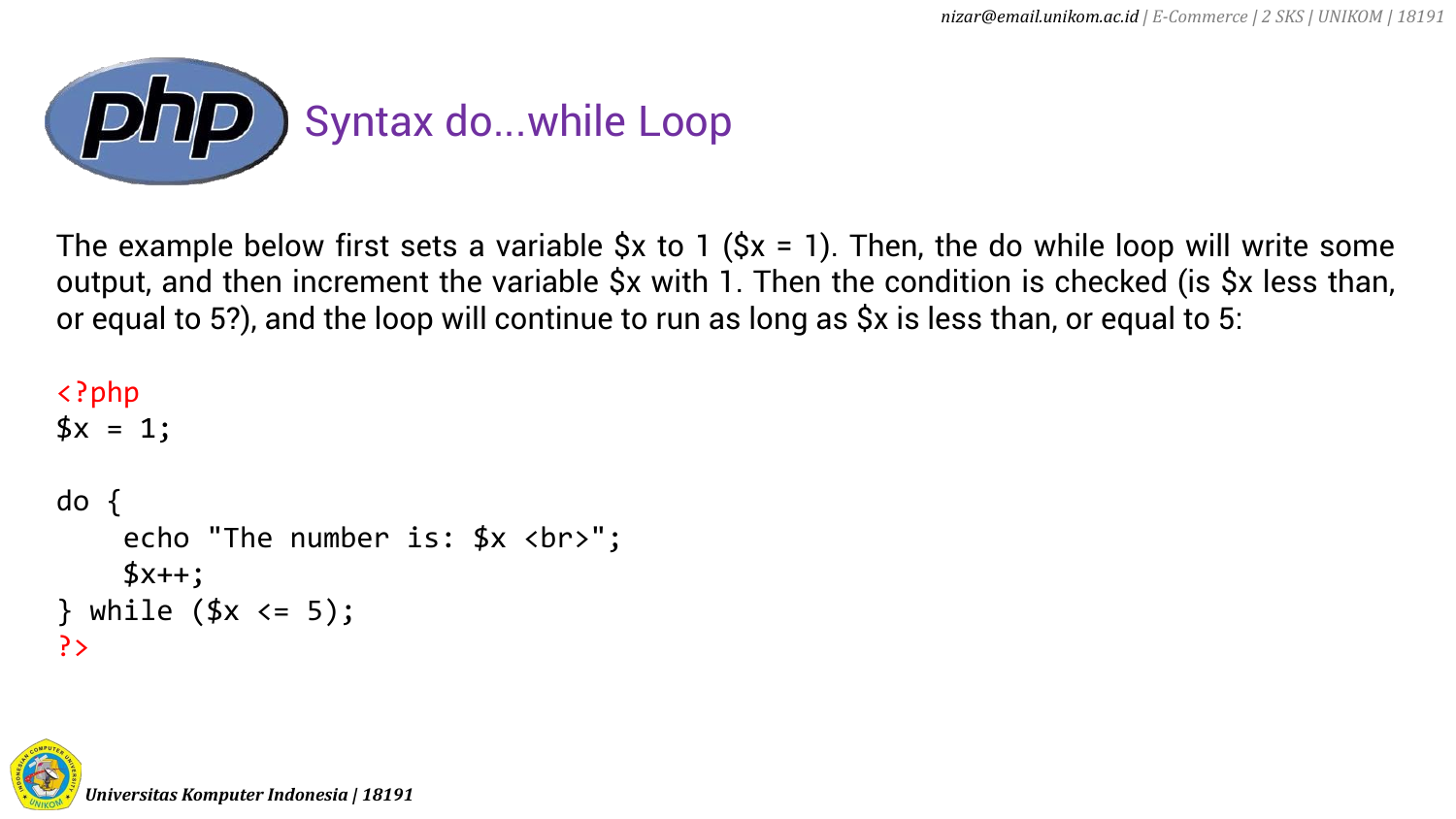

The example below first sets a variable  $\zeta x$  to 1 ( $\zeta x = 1$ ). Then, the do while loop will write some output, and then increment the variable \$x with 1. Then the condition is checked (is \$x less than, or equal to 5?), and the loop will continue to run as long as \$x is less than, or equal to 5:

```
<?php
$x = 1;do {
    echo "The number is: *x <br>";
    $x++;} while (\frac{5}{x} < 5);?>
```
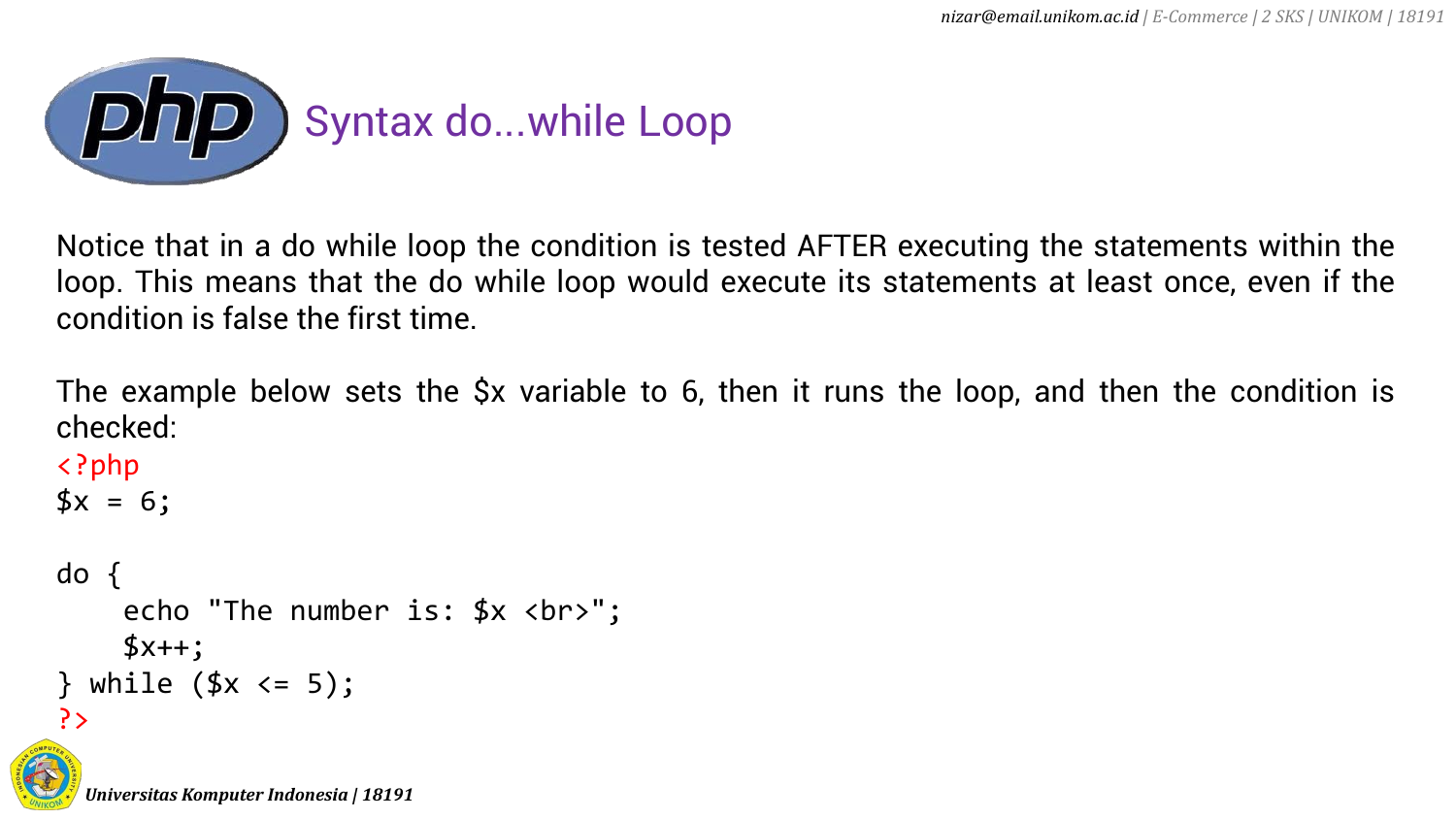

Notice that in a do while loop the condition is tested AFTER executing the statements within the loop. This means that the do while loop would execute its statements at least once, even if the condition is false the first time.

The example below sets the \$x variable to 6, then it runs the loop, and then the condition is checked:

```
<?php
3x = 6;
```

```
do {
    echo "The number is: *x <br>";
    $x++;while (\frac{4}{x} < 5);?>
```
*Universitas Komputer Indonesia | 18191*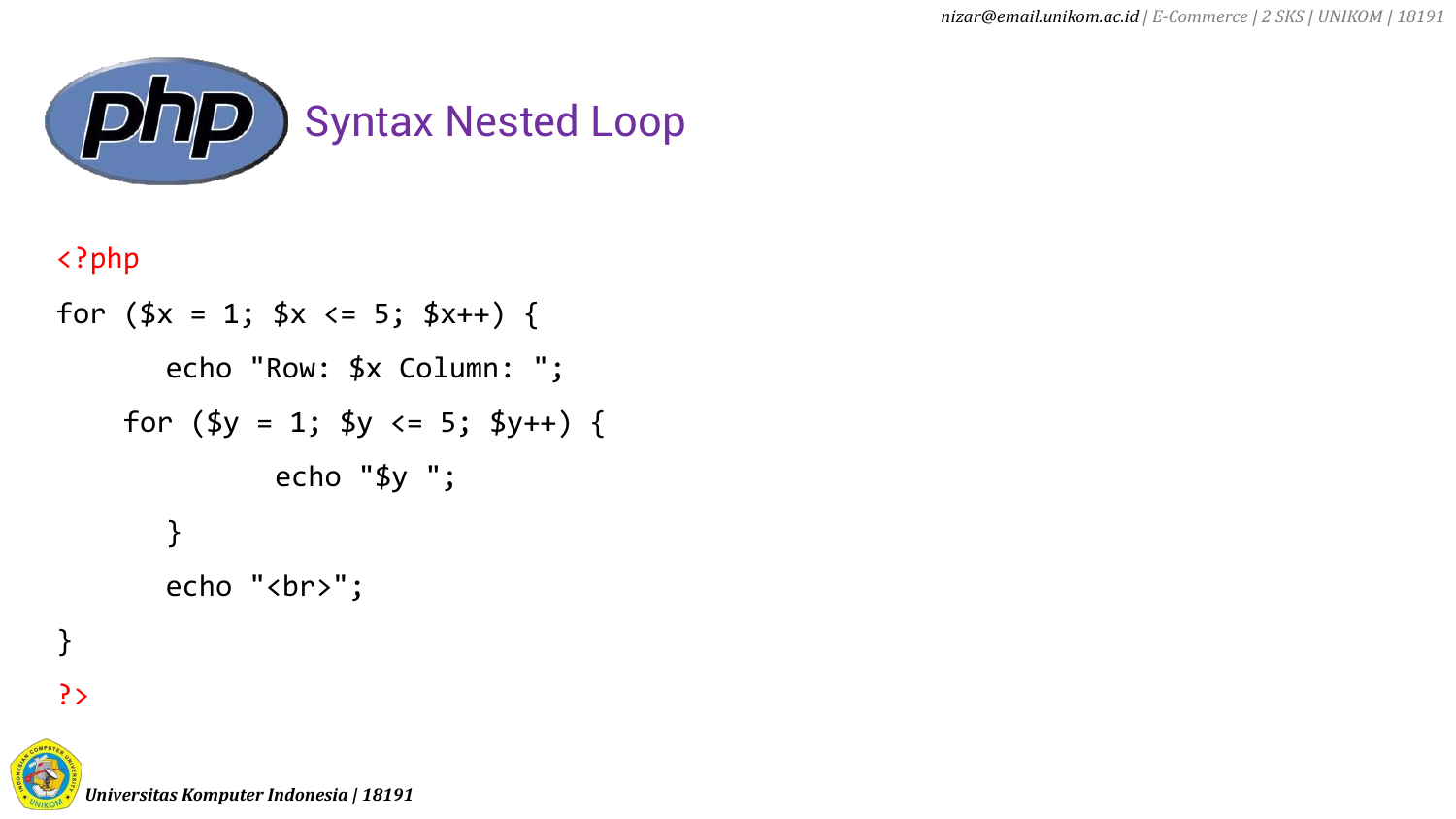

## <?php

```
for (\frac{4}{x} = 1; \frac{4}{x} < 5; \frac{4}{x} + \frac{1}{x}) {
           echo "Row: $x Column: ";
      for (\frac{4}{9}y = 1; \frac{4}{9}y \le 5; \frac{4}{9}y++) {
                     echo "$y ";
           }
           echo "<br>";
```


}

*Universitas Komputer Indonesia | 18191*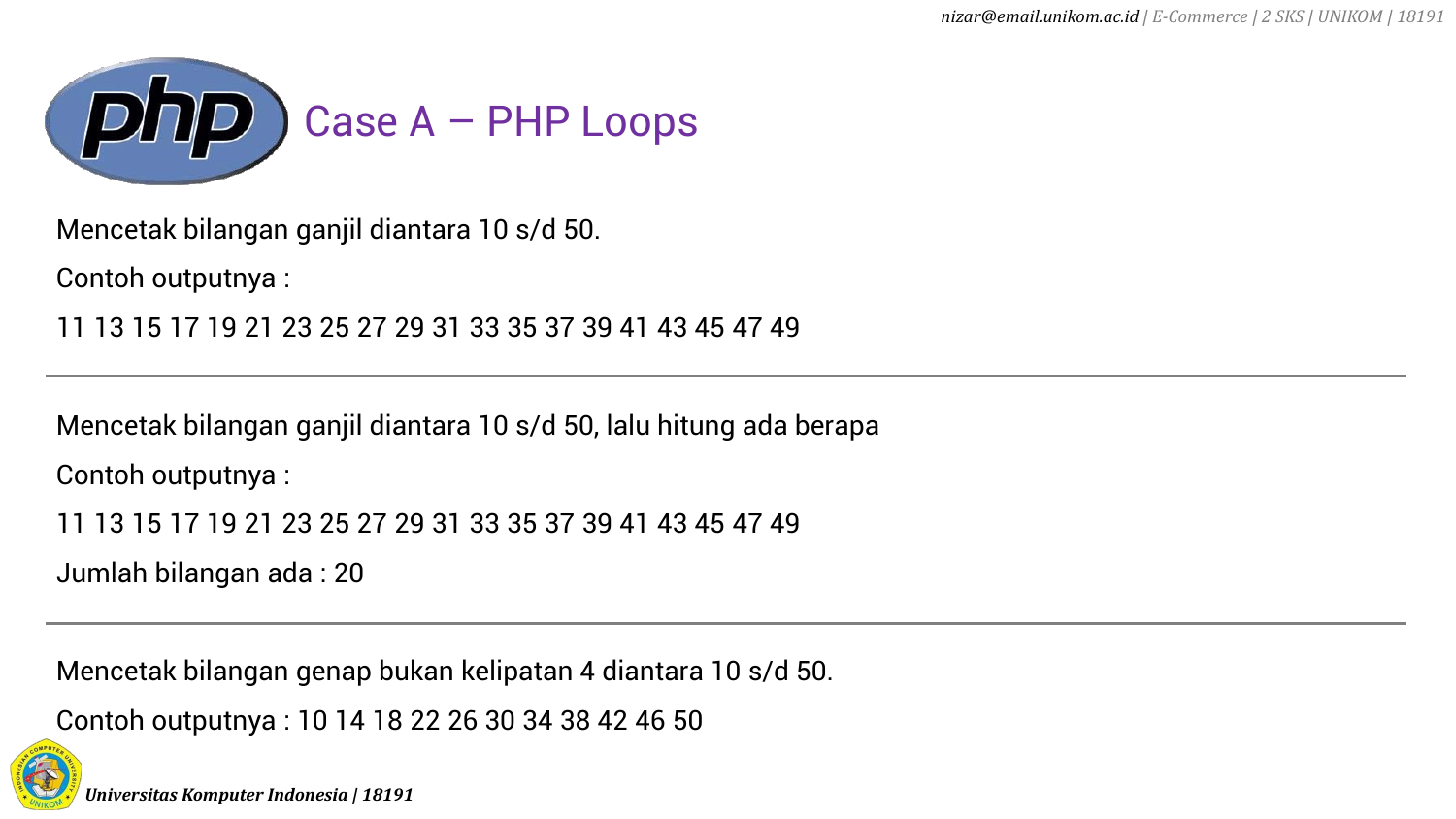

Mencetak bilangan ganjil diantara 10 s/d 50.

Contoh outputnya :

11 13 15 17 19 21 23 25 27 29 31 33 35 37 39 41 43 45 47 49

Mencetak bilangan ganjil diantara 10 s/d 50, lalu hitung ada berapa Contoh outputnya :

11 13 15 17 19 21 23 25 27 29 31 33 35 37 39 41 43 45 47 49

Jumlah bilangan ada : 20

Mencetak bilangan genap bukan kelipatan 4 diantara 10 s/d 50.

Contoh outputnya : 10 14 18 22 26 30 34 38 42 46 50

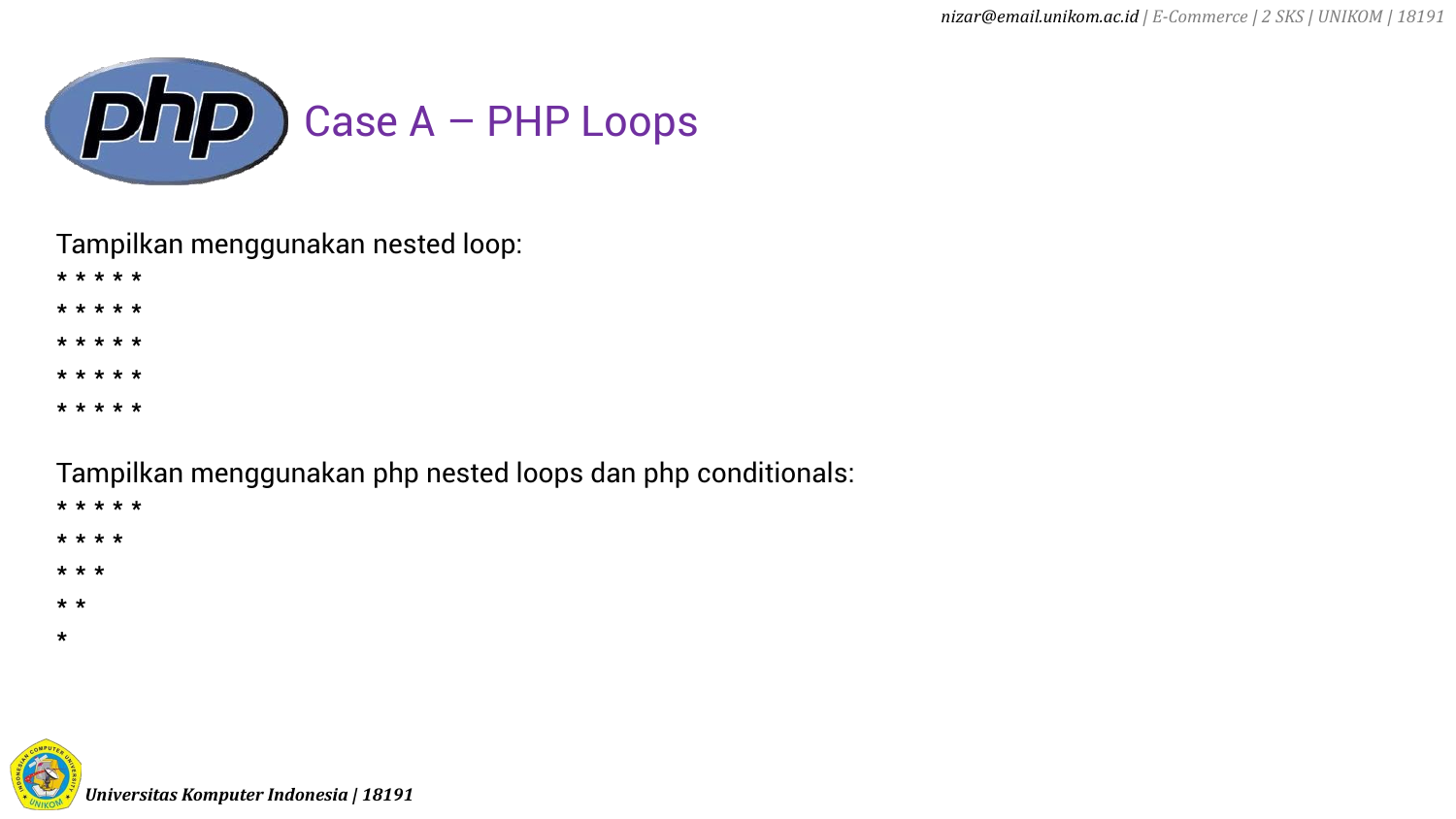

Tampilkan menggunakan nested loop:

\* \* \* \* \*

\* \* \* \* \*

- \* \* \* \* \*
- \* \* \* \* \*
- \* \* \* \* \*

Tampilkan menggunakan php nested loops dan php conditionals:

- \* \* \* \* \*
- \* \* \* \*
- \* \* \*
- \* \*
- 
- \*

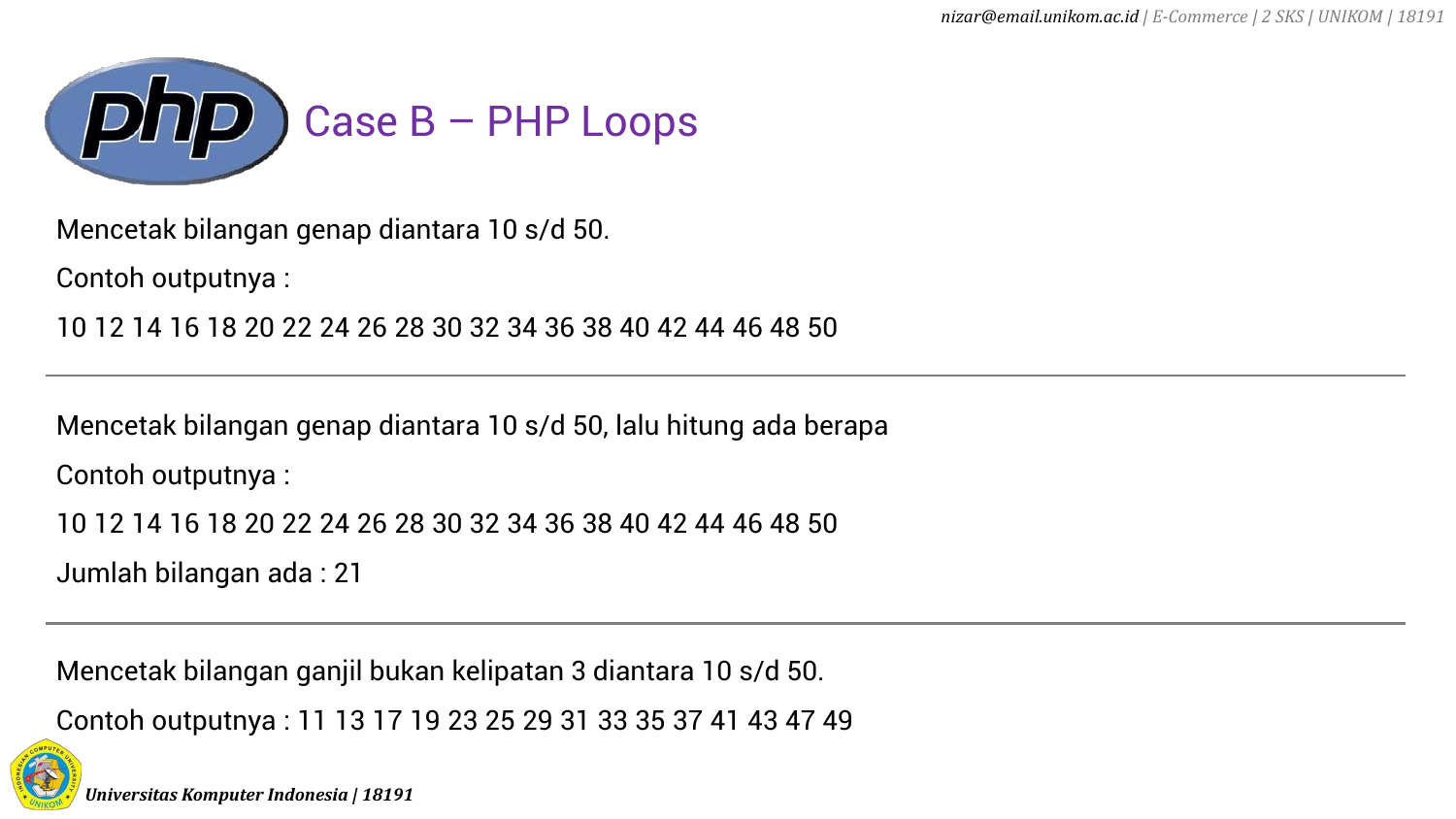

Mencetak bilangan genap diantara 10 s/d 50.

Contoh outputnya :

10 12 14 16 18 20 22 24 26 28 30 32 34 36 38 40 42 44 46 48 50

Mencetak bilangan genap diantara 10 s/d 50, lalu hitung ada berapa Contoh outputnya :

10 12 14 16 18 20 22 24 26 28 30 32 34 36 38 40 42 44 46 48 50

Jumlah bilangan ada : 21

Mencetak bilangan ganjil bukan kelipatan 3 diantara 10 s/d 50.

Contoh outputnya : 11 13 17 19 23 25 29 31 33 35 37 41 43 47 49

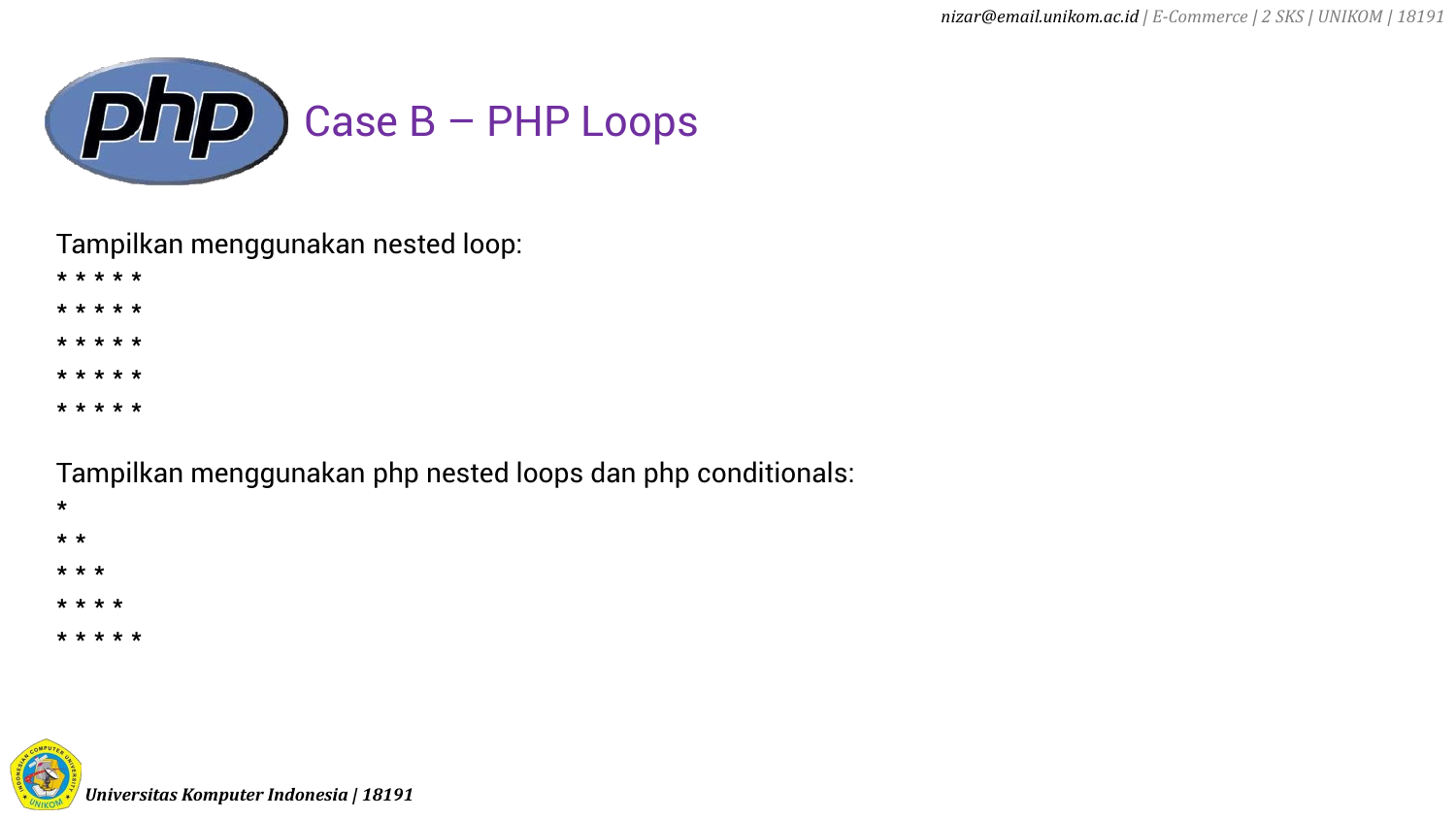

Tampilkan menggunakan nested loop:

\* \* \* \* \*

\* \* \* \* \*

\* \* \* \* \*

\* \* \* \* \*

\* \* \* \* \*

Tampilkan menggunakan php nested loops dan php conditionals:

\*

\* \*

\* \* \*

\* \* \* \*

\* \* \* \* \*